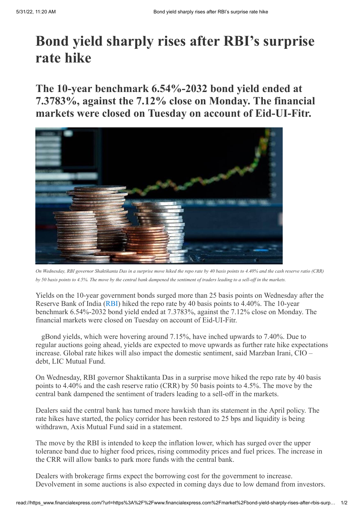## **Bond yield sharply rises after RBI's surprise rate hike**

## **The 10-year benchmark 6.54%-2032 bond yield ended at 7.3783%, against the 7.12% close on Monday. The financial markets were closed on Tuesday on account of Eid-UI-Fitr.**



On Wednesday, RBI governor Shaktikanta Das in a surprise move hiked the repo rate by 40 basis points to 4.40% and the cash reserve ratio (CRR) by 50 basis points to 4.5%. The move by the central bank dampened the sentiment of traders leading to a sell-off in the markets.

Yields on the 10-year government bonds surged more than 25 basis points on Wednesday after the Reserve Bank of India ([RBI](https://www.financialexpress.com/about/rbi/)) hiked the repo rate by 40 basis points to 4.40%. The 10-year benchmark 6.54%-2032 bond yield ended at 7.3783%, against the 7.12% close on Monday. The financial markets were closed on Tuesday on account of Eid-UI-Fitr.

gBond yields, which were hovering around 7.15%, have inched upwards to 7.40%. Due to regular auctions going ahead, yields are expected to move upwards as further rate hike expectations increase. Global rate hikes will also impact the domestic sentiment, said Marzban Irani, CIO – debt, LIC Mutual Fund.

On Wednesday, RBI governor Shaktikanta Das in a surprise move hiked the repo rate by 40 basis points to 4.40% and the cash reserve ratio (CRR) by 50 basis points to 4.5%. The move by the central bank dampened the sentiment of traders leading to a sell-off in the markets.

Dealers said the central bank has turned more hawkish than its statement in the April policy. The rate hikes have started, the policy corridor has been restored to 25 bps and liquidity is being withdrawn, Axis Mutual Fund said in a statement.

The move by the RBI is intended to keep the inflation lower, which has surged over the upper tolerance band due to higher food prices, rising commodity prices and fuel prices. The increase in the CRR will allow banks to park more funds with the central bank.

Dealers with brokerage firms expect the borrowing cost for the government to increase. Devolvement in some auctions is also expected in coming days due to low demand from investors.